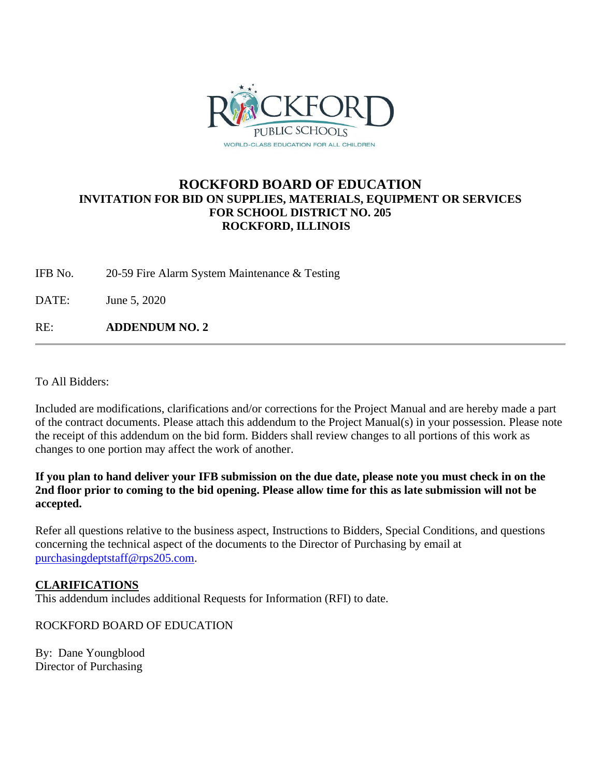

## **ROCKFORD BOARD OF EDUCATION INVITATION FOR BID ON SUPPLIES, MATERIALS, EQUIPMENT OR SERVICES FOR SCHOOL DISTRICT NO. 205 ROCKFORD, ILLINOIS**

IFB No. 20-59 Fire Alarm System Maintenance & Testing

DATE: June 5, 2020

RE: **ADDENDUM NO. 2**

To All Bidders:

Included are modifications, clarifications and/or corrections for the Project Manual and are hereby made a part of the contract documents. Please attach this addendum to the Project Manual(s) in your possession. Please note the receipt of this addendum on the bid form. Bidders shall review changes to all portions of this work as changes to one portion may affect the work of another.

**If you plan to hand deliver your IFB submission on the due date, please note you must check in on the 2nd floor prior to coming to the bid opening. Please allow time for this as late submission will not be accepted.**

Refer all questions relative to the business aspect, Instructions to Bidders, Special Conditions, and questions concerning the technical aspect of the documents to the Director of Purchasing by email at [purchasingdeptstaff@rps205.com.](mailto:purchasingdeptstaff@rps205.com)

## **CLARIFICATIONS**

This addendum includes additional Requests for Information (RFI) to date.

ROCKFORD BOARD OF EDUCATION

By: Dane Youngblood Director of Purchasing